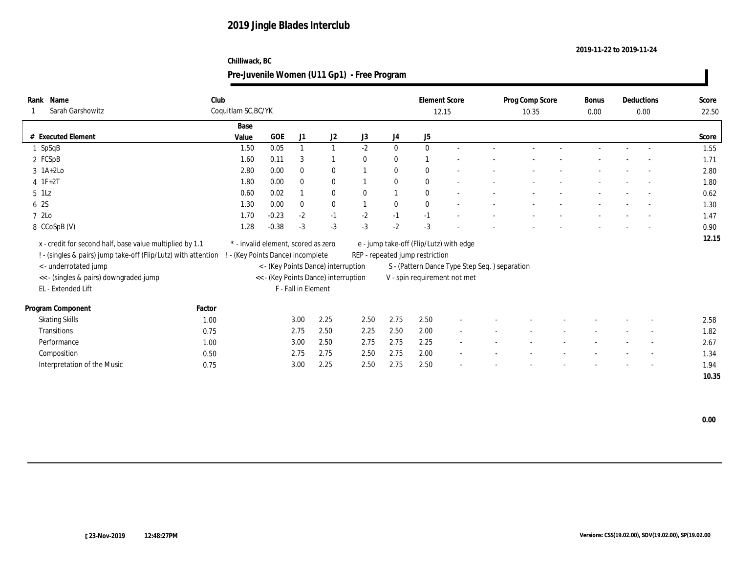#### **2019-11-22 to 2019-11-24**

### **Chilliwack, BC**

| Name<br>Rank                                                     | Club   |                                     |         |                     |                                      |              |                  | <b>Element Score</b>                    |                                               | Prog Comp Score | <b>Bonus</b> | Deductions |                          | Score |
|------------------------------------------------------------------|--------|-------------------------------------|---------|---------------------|--------------------------------------|--------------|------------------|-----------------------------------------|-----------------------------------------------|-----------------|--------------|------------|--------------------------|-------|
| Sarah Garshowitz                                                 |        | Coquitlam SC, BC/YK                 |         |                     |                                      |              |                  |                                         | 12.15                                         | 10.35           | 0.00         |            | 0.00                     | 22.50 |
|                                                                  |        | Base                                |         |                     |                                      |              |                  |                                         |                                               |                 |              |            |                          |       |
| # Executed Element                                               |        | Value                               | GOE     | J1                  | J2                                   | J3           | $_{\mathrm{J}4}$ | J5                                      |                                               |                 |              |            |                          | Score |
| 1 SpSqB                                                          |        | 1.50                                | 0.05    | $\overline{1}$      | $\mathbf{1}$                         | $-2$         | $\bf{0}$         | $\mathbf{0}$                            |                                               |                 |              |            |                          | 1.55  |
| 2 FCSpB                                                          |        | 1.60                                | 0.11    | 3                   |                                      | $\mathbf{0}$ | $\bf{0}$         |                                         |                                               |                 |              |            |                          | 1.71  |
| $3 \text{ 1A+2Lo}$                                               |        | 2.80                                | 0.00    | $\mathbf{0}$        | $\bf{0}$                             |              | $\bf{0}$         | $\mathbf{0}$                            |                                               |                 |              |            |                          | 2.80  |
| $4$ 1F+2T                                                        |        | 1.80                                | 0.00    | $\bf{0}$            | $\bf{0}$                             |              | $\bf{0}$         | $\mathbf{0}$                            |                                               |                 |              |            |                          | 1.80  |
| $5$ 1Lz                                                          |        | 0.60                                | 0.02    |                     | $\bf{0}$                             | $\theta$     |                  | $\mathbf{0}$                            |                                               |                 |              |            |                          | 0.62  |
| 6 2S                                                             |        | 1.30                                | 0.00    | $\bf{0}$            | $\bf{0}$                             |              | $\bf{0}$         | $\theta$                                |                                               |                 |              |            | $\sim$                   | 1.30  |
| 7 2Lo                                                            |        | 1.70                                | $-0.23$ | $-2$                | $-1$                                 | $-2$         | $-1$             | $-1$                                    |                                               |                 |              |            |                          | 1.47  |
| 8 CCoSpB (V)                                                     |        | 1.28                                | $-0.38$ | $-3$                | $-3$                                 | $-3$         | $-2$             | $-3$                                    |                                               |                 |              |            |                          | 0.90  |
| x - credit for second half, base value multiplied by 1.1         |        | * - invalid element, scored as zero |         |                     |                                      |              |                  | e - jump take-off (Flip/Lutz) with edge |                                               |                 |              |            |                          | 12.15 |
| ! - (singles & pairs) jump take-off (Flip/Lutz) with attention ! |        | - (Key Points Dance) incomplete     |         |                     |                                      |              |                  | REP - repeated jump restriction         |                                               |                 |              |            |                          |       |
|                                                                  |        |                                     |         |                     | < - (Key Points Dance) interruption  |              |                  |                                         | S - (Pattern Dance Type Step Seq.) separation |                 |              |            |                          |       |
| < - underrotated jump                                            |        |                                     |         |                     |                                      |              |                  |                                         |                                               |                 |              |            |                          |       |
| << - (singles & pairs) downgraded jump<br>EL - Extended Lift     |        |                                     |         | F - Fall in Element | << - (Key Points Dance) interruption |              |                  |                                         | V - spin requirement not met                  |                 |              |            |                          |       |
|                                                                  |        |                                     |         |                     |                                      |              |                  |                                         |                                               |                 |              |            |                          |       |
| Program Component                                                | Factor |                                     |         |                     |                                      |              |                  |                                         |                                               |                 |              |            |                          |       |
| <b>Skating Skills</b>                                            | 1.00   |                                     |         | 3.00                | 2.25                                 | 2.50         | 2.75             | 2.50                                    |                                               |                 |              |            |                          | 2.58  |
| <b>Transitions</b>                                               | 0.75   |                                     |         | 2.75                | 2.50                                 | 2.25         | 2.50             | 2.00                                    | $\sim$                                        |                 |              |            | $\sim$                   | 1.82  |
| Performance                                                      | 1.00   |                                     |         | 3.00                | 2.50                                 | 2.75         | 2.75             | 2.25                                    |                                               |                 |              |            |                          | 2.67  |
| Composition                                                      | 0.50   |                                     |         | 2.75                | 2.75                                 | 2.50         | 2.75             | 2.00                                    |                                               |                 |              |            |                          | 1.34  |
| Interpretation of the Music                                      | 0.75   |                                     |         | 3.00                | 2.25                                 | 2.50         | 2.75             | 2.50                                    |                                               |                 |              |            | $\overline{\phantom{a}}$ | 1.94  |
|                                                                  |        |                                     |         |                     |                                      |              |                  |                                         |                                               |                 |              |            |                          | 10.35 |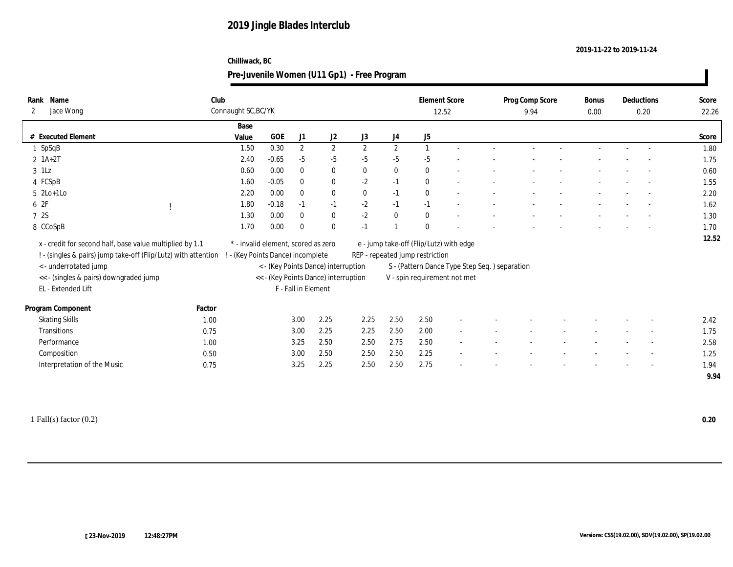#### **2019-11-22 to 2019-11-24**

### **Chilliwack, BC**

| Name<br>Rank                                                     | Club   |                                     |            |                     |                                                                             |              |              | <b>Element Score</b>                    |                                               | Prog Comp Score | Bonus | Deductions               | Score |
|------------------------------------------------------------------|--------|-------------------------------------|------------|---------------------|-----------------------------------------------------------------------------|--------------|--------------|-----------------------------------------|-----------------------------------------------|-----------------|-------|--------------------------|-------|
| Jace Wong<br>2                                                   |        | Connaught SC, BC/YK                 |            |                     |                                                                             |              |              | 12.52                                   |                                               | 9.94            | 0.00  | 0.20                     | 22.26 |
|                                                                  |        | Base                                |            |                     |                                                                             |              |              |                                         |                                               |                 |       |                          |       |
| # Executed Element                                               |        | Value                               | <b>GOE</b> | J1                  | J2                                                                          | J3           | J4           | J5                                      |                                               |                 |       |                          | Score |
| 1 SpSqB                                                          |        | 1.50                                | 0.30       | $\mathbf{2}$        | $\mathbf{2}$                                                                | $\mathbf{2}$ | $\mathbf{2}$ |                                         |                                               |                 |       |                          | 1.80  |
| $2 \; 1A+2T$                                                     |        | 2.40                                | $-0.65$    | $-5$                | $-5$                                                                        | $-5$         | $-5$         | $-5$                                    |                                               |                 |       |                          | 1.75  |
| $3$ 1Lz                                                          |        | 0.60                                | 0.00       | $\bf{0}$            | $\bf{0}$                                                                    | $\bf{0}$     | $\bf{0}$     | $\mathbf{0}$                            |                                               |                 |       |                          | 0.60  |
| 4 FCSpB                                                          |        | 1.60                                | $-0.05$    | $\mathbf{0}$        | $\bf{0}$                                                                    | $-2$         | $-1$         | $\mathbf{0}$                            | $\overline{\phantom{a}}$                      |                 |       | $\overline{\phantom{a}}$ | 1.55  |
| $5 \text{2Lo}+1\text{Lo}$                                        |        | 2.20                                | 0.00       | $\mathbf{0}$        | $\bf{0}$                                                                    | $\bf{0}$     | $-1$         | $\mathbf{0}$                            | $\overline{\phantom{a}}$                      |                 |       | $\sim$                   | 2.20  |
| 6 2F                                                             |        | 1.80                                | $-0.18$    | $-1$                | $-1$                                                                        | $-2$         | $-1$         | $-1$                                    |                                               |                 |       | $\overline{\phantom{a}}$ | 1.62  |
| 7 2S                                                             |        | 1.30                                | 0.00       | $\mathbf{0}$        | $\bf{0}$                                                                    | $-2$         | $\bf{0}$     | $\bf{0}$                                |                                               |                 |       |                          | 1.30  |
| 8 CCoSpB                                                         |        | 1.70                                | 0.00       | $\mathbf{0}$        | $\mathbf{0}$                                                                | $-1$         |              | $\Omega$                                |                                               |                 |       |                          | 1.70  |
| x - credit for second half, base value multiplied by 1.1         |        | * - invalid element, scored as zero |            |                     |                                                                             |              |              | e - jump take-off (Flip/Lutz) with edge |                                               |                 |       |                          | 12.52 |
| ! - (singles & pairs) jump take-off (Flip/Lutz) with attention ! |        | - (Key Points Dance) incomplete     |            |                     |                                                                             |              |              | REP - repeated jump restriction         |                                               |                 |       |                          |       |
| < - underrotated jump                                            |        |                                     |            |                     |                                                                             |              |              |                                         |                                               |                 |       |                          |       |
|                                                                  |        |                                     |            |                     | < - (Key Points Dance) interruption<br><< - (Key Points Dance) interruption |              |              | V - spin requirement not met            | S - (Pattern Dance Type Step Seq.) separation |                 |       |                          |       |
| << - (singles & pairs) downgraded jump<br>EL - Extended Lift     |        |                                     |            | F - Fall in Element |                                                                             |              |              |                                         |                                               |                 |       |                          |       |
|                                                                  |        |                                     |            |                     |                                                                             |              |              |                                         |                                               |                 |       |                          |       |
| Program Component                                                | Factor |                                     |            |                     |                                                                             |              |              |                                         |                                               |                 |       |                          |       |
| <b>Skating Skills</b>                                            | 1.00   |                                     |            | 3.00                | 2.25                                                                        | 2.25         | 2.50         | 2.50                                    |                                               |                 |       |                          | 2.42  |
| Transitions                                                      | 0.75   |                                     |            | 3.00                | 2.25                                                                        | 2.25         | 2.50         | 2.00                                    | $\sim$                                        |                 |       |                          | 1.75  |
| Performance                                                      | 1.00   |                                     |            | 3.25                | 2.50                                                                        | 2.50         | 2.75         | 2.50                                    |                                               |                 |       |                          | 2.58  |
| Composition                                                      | 0.50   |                                     |            | 3.00                | 2.50                                                                        | 2.50         | 2.50         | 2.25                                    |                                               |                 |       |                          | 1.25  |
| Interpretation of the Music                                      | 0.75   |                                     |            | 3.25                | 2.25                                                                        | 2.50         | 2.50         | 2.75                                    |                                               |                 |       | $\overline{\phantom{a}}$ | 1.94  |
|                                                                  |        |                                     |            |                     |                                                                             |              |              |                                         |                                               |                 |       |                          | 9.94  |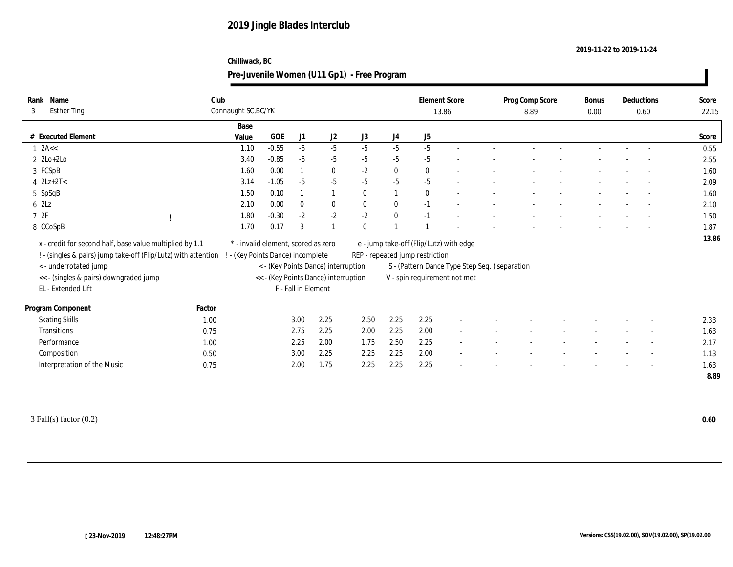#### **2019-11-22 to 2019-11-24**

### **Chilliwack, BC**

| Name<br>Rank<br><b>Esther Ting</b><br>3                        | Club   | Connaught SC, BC/YK                 |            |                     |                                      |              |              |                                 | <b>Element Score</b><br>13.86                 | Prog Comp Score<br>8.89 | <b>Bonus</b><br>0.00 | Deductions<br>0.60       | Score<br>22.15 |
|----------------------------------------------------------------|--------|-------------------------------------|------------|---------------------|--------------------------------------|--------------|--------------|---------------------------------|-----------------------------------------------|-------------------------|----------------------|--------------------------|----------------|
|                                                                |        |                                     |            |                     |                                      |              |              |                                 |                                               |                         |                      |                          |                |
|                                                                |        | Base                                |            |                     |                                      |              |              |                                 |                                               |                         |                      |                          |                |
| # Executed Element                                             |        | Value                               | <b>GOE</b> | J1                  | J2                                   | J3           | J4           | J5                              |                                               |                         |                      |                          | Score          |
| $1$ 2A <<                                                      |        | 1.10                                | $-0.55$    | $-5$                | $-5$                                 | $-5$         | $-5$         | $-5$                            |                                               |                         |                      |                          | 0.55           |
| $2 \text{ } 2\text{Lo}+2\text{Lo}$                             |        | 3.40                                | $-0.85$    | $-5$                | $-5$                                 | $-5$         | $-5$         | $-5$                            |                                               |                         |                      |                          | 2.55           |
| 3 FCSpB                                                        |        | 1.60                                | 0.00       |                     | $\bf{0}$                             | $-2$         | $\bf{0}$     | $\mathbf{0}$                    |                                               |                         |                      |                          | 1.60           |
| $4$ $2Lz+2T<$                                                  |        | 3.14                                | $-1.05$    | $-5$                | $-5$                                 | $-5$         | $-5$         | $-5$                            |                                               |                         |                      | $\overline{\phantom{a}}$ | 2.09           |
| 5 SpSqB                                                        |        | 1.50                                | 0.10       |                     |                                      | $\bf{0}$     | $\mathbf{1}$ | $\bf{0}$                        | $\overline{a}$                                |                         |                      | $\sim$                   | 1.60           |
| 62Lz                                                           |        | 2.10                                | 0.00       | $\mathbf{0}$        | $\bf{0}$                             | $\mathbf{0}$ | $\mathbf{0}$ | $-1$                            | $\overline{a}$                                |                         |                      | $\sim$                   | 2.10           |
| 72F                                                            |        | 1.80                                | $-0.30$    | $-2$                | $-2$                                 | $-2$         | $\bf{0}$     | $-1$                            |                                               |                         |                      |                          | 1.50           |
| 8 CCoSpB                                                       |        | 1.70                                | 0.17       | 3                   |                                      | $\bf{0}$     |              |                                 |                                               |                         |                      |                          | 1.87           |
|                                                                |        |                                     |            |                     |                                      |              |              |                                 |                                               |                         |                      |                          | 13.86          |
| x - credit for second half, base value multiplied by 1.1       |        | * - invalid element, scored as zero |            |                     |                                      |              |              |                                 | e - jump take-off (Flip/Lutz) with edge       |                         |                      |                          |                |
| ! - (singles & pairs) jump take-off (Flip/Lutz) with attention |        | - (Key Points Dance) incomplete     |            |                     |                                      |              |              | REP - repeated jump restriction |                                               |                         |                      |                          |                |
| <- underrotated jump                                           |        |                                     |            |                     | < - (Key Points Dance) interruption  |              |              |                                 | S - (Pattern Dance Type Step Seq.) separation |                         |                      |                          |                |
| << - (singles & pairs) downgraded jump                         |        |                                     |            |                     | << - (Key Points Dance) interruption |              |              |                                 | V - spin requirement not met                  |                         |                      |                          |                |
| EL - Extended Lift                                             |        |                                     |            | F - Fall in Element |                                      |              |              |                                 |                                               |                         |                      |                          |                |
| Program Component                                              | Factor |                                     |            |                     |                                      |              |              |                                 |                                               |                         |                      |                          |                |
| <b>Skating Skills</b>                                          | 1.00   |                                     |            | 3.00                | 2.25                                 | 2.50         | 2.25         | 2.25                            |                                               |                         |                      |                          | 2.33           |
| Transitions                                                    | 0.75   |                                     |            | 2.75                | 2.25                                 | 2.00         | 2.25         | 2.00                            |                                               |                         |                      |                          | 1.63           |
| Performance                                                    | 1.00   |                                     |            | 2.25                | 2.00                                 | 1.75         | 2.50         | 2.25                            |                                               |                         |                      |                          | 2.17           |
| Composition                                                    | 0.50   |                                     |            | 3.00                | 2.25                                 | 2.25         | 2.25         | 2.00                            |                                               |                         |                      |                          | 1.13           |
|                                                                |        |                                     |            |                     |                                      |              |              |                                 |                                               |                         |                      |                          |                |
| Interpretation of the Music                                    | 0.75   |                                     |            | 2.00                | 1.75                                 | 2.25         | 2.25         | 2.25                            |                                               |                         |                      |                          | 1.63           |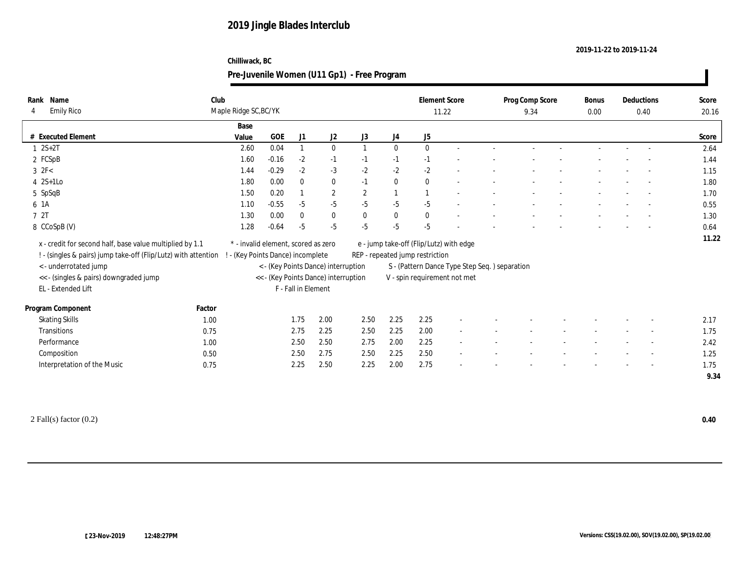#### **2019-11-22 to 2019-11-24**

### **Chilliwack, BC**

| Name<br>Rank                                                     | Club   |                                     |            |                     |                                      |            |                  | <b>Element Score</b>                    |                                               | Prog Comp Score | Bonus | Deductions |                          | Score |
|------------------------------------------------------------------|--------|-------------------------------------|------------|---------------------|--------------------------------------|------------|------------------|-----------------------------------------|-----------------------------------------------|-----------------|-------|------------|--------------------------|-------|
| <b>Emily Rico</b><br>$\overline{4}$                              |        | Maple Ridge SC, BC/YK               |            |                     |                                      |            |                  | 11.22                                   |                                               | 9.34            | 0.00  |            | 0.40                     | 20.16 |
|                                                                  |        | Base                                |            |                     |                                      |            |                  |                                         |                                               |                 |       |            |                          |       |
| # Executed Element                                               |        | Value                               | <b>GOE</b> | J1                  | J2                                   | J3         | J4               | J5                                      |                                               |                 |       |            |                          | Score |
| $1 \ 2S + 2T$                                                    |        | 2.60                                | 0.04       | $\mathbf{1}$        | $\bf{0}$                             |            | $\bf{0}$         | $\mathbf{0}$                            |                                               |                 |       |            |                          | 2.64  |
| 2 FCSpB                                                          |        | 1.60                                | $-0.16$    | $-2$                | $-1$                                 | $-1$       | $-1$             | $-1$                                    |                                               |                 |       |            |                          | 1.44  |
| $3 \text{ } 2F<$                                                 |        | 1.44                                | $-0.29$    | $-2$                | $-3$                                 | $-2$       | $-2$             | $-2$                                    |                                               |                 |       |            |                          | 1.15  |
| $4 \quad 2S+1LO$                                                 |        | 1.80                                | 0.00       | $\mathbf{0}$        | $\bf{0}$                             | $-1$       | $\bf{0}$         | $\mathbf{0}$                            | $\overline{\phantom{a}}$                      |                 |       |            | $\overline{\phantom{a}}$ | 1.80  |
| 5 SpSqB                                                          |        | 1.50                                | 0.20       | $\mathbf{1}$        | $\mathbf{2}$                         | $\sqrt{2}$ | $\overline{1}$   |                                         | ÷                                             |                 |       |            | $\sim$                   | 1.70  |
| 6 1A                                                             |        | 1.10                                | $-0.55$    | $-5$                | $-5$                                 | $-5$       | $-5$             | $-5$                                    |                                               |                 |       |            |                          | 0.55  |
| 7 2T                                                             |        | 1.30                                | 0.00       | $\mathbf{0}$        | $\bf{0}$                             | $\bf{0}$   | $\boldsymbol{0}$ | $\bf{0}$                                |                                               |                 |       |            |                          | 1.30  |
| 8 CCoSpB (V)                                                     |        | 1.28                                | $-0.64$    | $-5$                | $-5$                                 | $-5$       | $-5$             | $-5$                                    |                                               |                 |       |            |                          | 0.64  |
| x - credit for second half, base value multiplied by 1.1         |        | * - invalid element, scored as zero |            |                     |                                      |            |                  | e - jump take-off (Flip/Lutz) with edge |                                               |                 |       |            |                          | 11.22 |
| ! - (singles & pairs) jump take-off (Flip/Lutz) with attention ! |        | - (Key Points Dance) incomplete     |            |                     |                                      |            |                  | REP - repeated jump restriction         |                                               |                 |       |            |                          |       |
| <- underrotated jump                                             |        |                                     |            |                     | < - (Key Points Dance) interruption  |            |                  |                                         | S - (Pattern Dance Type Step Seq.) separation |                 |       |            |                          |       |
| << - (singles & pairs) downgraded jump                           |        |                                     |            |                     | << - (Key Points Dance) interruption |            |                  | V - spin requirement not met            |                                               |                 |       |            |                          |       |
| EL - Extended Lift                                               |        |                                     |            | F - Fall in Element |                                      |            |                  |                                         |                                               |                 |       |            |                          |       |
|                                                                  |        |                                     |            |                     |                                      |            |                  |                                         |                                               |                 |       |            |                          |       |
| Program Component                                                | Factor |                                     |            |                     |                                      |            |                  |                                         |                                               |                 |       |            |                          |       |
| <b>Skating Skills</b>                                            | 1.00   |                                     |            | 1.75                | 2.00                                 | 2.50       | 2.25             | 2.25                                    |                                               |                 |       |            |                          | 2.17  |
| Transitions                                                      | 0.75   |                                     |            | 2.75                | 2.25                                 | 2.50       | 2.25             | 2.00                                    | $\sim$                                        |                 |       |            | $\overline{\phantom{a}}$ | 1.75  |
| Performance                                                      | 1.00   |                                     |            | 2.50                | 2.50                                 | 2.75       | 2.00             | 2.25                                    |                                               |                 |       |            |                          | 2.42  |
| Composition                                                      | 0.50   |                                     |            | 2.50                | 2.75                                 | 2.50       | 2.25             | 2.50                                    |                                               |                 |       |            |                          | 1.25  |
| Interpretation of the Music                                      | 0.75   |                                     |            | 2.25                | 2.50                                 | 2.25       | 2.00             | 2.75                                    |                                               |                 |       |            | $\overline{\phantom{a}}$ | 1.75  |
|                                                                  |        |                                     |            |                     |                                      |            |                  |                                         |                                               |                 |       |            |                          | 9.34  |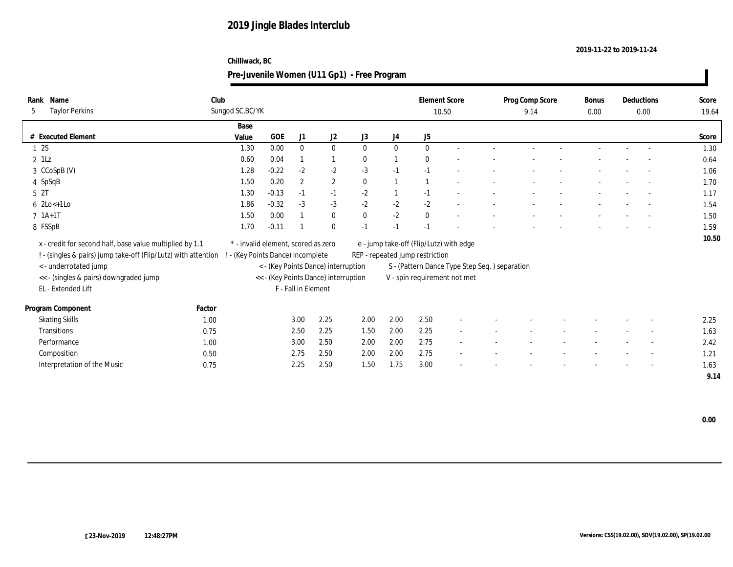#### **2019-11-22 to 2019-11-24**

### **Chilliwack, BC**

| Name<br>Rank                                                   | Club             |                                     |         |                     |                                      |              |          | <b>Element Score</b>                          |                          | Prog Comp Score | Bonus | Deductions               | Score |
|----------------------------------------------------------------|------------------|-------------------------------------|---------|---------------------|--------------------------------------|--------------|----------|-----------------------------------------------|--------------------------|-----------------|-------|--------------------------|-------|
| <b>Taylor Perkins</b><br>5                                     | Sungod SC, BC/YK |                                     |         |                     |                                      |              |          |                                               | 10.50                    | 9.14            | 0.00  | 0.00                     | 19.64 |
|                                                                |                  | Base                                |         |                     |                                      |              |          |                                               |                          |                 |       |                          |       |
| # Executed Element                                             |                  | Value                               | GOE     | J1                  | J2                                   | J3           | J4       | J5                                            |                          |                 |       |                          | Score |
| 12S                                                            |                  | 1.30                                | 0.00    | $\mathbf{0}$        | $\bf{0}$                             | $\mathbf{0}$ | $\bf{0}$ | $\mathbf{0}$                                  | $\sim$                   |                 |       |                          | 1.30  |
| $2$ 1Lz                                                        |                  | 0.60                                | 0.04    |                     | $\mathbf{1}$                         | $\bf{0}$     |          | $\mathbf{0}$                                  |                          |                 |       |                          | 0.64  |
| 3 CCoSpB (V)                                                   |                  | 1.28                                | $-0.22$ | $-2$                | $-2$                                 | $-3$         | $-1$     | $-1$                                          |                          |                 |       |                          | 1.06  |
| 4 SpSqB                                                        |                  | 1.50                                | 0.20    | $\overline{2}$      | $\mathbf{2}$                         | $\mathbf{0}$ |          |                                               |                          |                 |       |                          | 1.70  |
| 5 <sup>2T</sup>                                                |                  | 1.30                                | $-0.13$ | $-1$                | $-1$                                 | $-2$         |          | $-1$                                          |                          |                 |       | $\overline{a}$           | 1.17  |
| $6 \text{ } 2 \text{Lo} < +1 \text{Lo}$                        |                  | 1.86                                | $-0.32$ | $-3$                | $-3$                                 | $-2$         | $-2$     | $-2$                                          | $\overline{\phantom{a}}$ |                 |       | $\sim$                   | 1.54  |
| $7 \; 1A+1T$                                                   |                  | 1.50                                | 0.00    |                     | $\bf{0}$                             | $\mathbf{0}$ | $-2$     | $\mathbf{0}$                                  |                          |                 |       |                          | 1.50  |
| 8 FSSpB                                                        |                  | 1.70                                | $-0.11$ |                     | $\bf{0}$                             | $-1$         | $-1$     |                                               |                          |                 |       |                          | 1.59  |
| x - credit for second half, base value multiplied by 1.1       |                  | * - invalid element, scored as zero |         |                     |                                      |              |          | e - jump take-off (Flip/Lutz) with edge       |                          |                 |       |                          | 10.50 |
| ! - (singles & pairs) jump take-off (Flip/Lutz) with attention |                  | (Key Points Dance) incomplete       |         |                     |                                      |              |          | REP - repeated jump restriction               |                          |                 |       |                          |       |
| < - underrotated jump                                          |                  |                                     |         |                     | < - (Key Points Dance) interruption  |              |          | S - (Pattern Dance Type Step Seq.) separation |                          |                 |       |                          |       |
| << - (singles & pairs) downgraded jump                         |                  |                                     |         |                     | << - (Key Points Dance) interruption |              |          | V - spin requirement not met                  |                          |                 |       |                          |       |
| EL - Extended Lift                                             |                  |                                     |         | F - Fall in Element |                                      |              |          |                                               |                          |                 |       |                          |       |
|                                                                |                  |                                     |         |                     |                                      |              |          |                                               |                          |                 |       |                          |       |
| Program Component                                              | Factor           |                                     |         |                     |                                      |              |          |                                               |                          |                 |       |                          |       |
| <b>Skating Skills</b>                                          | 1.00             |                                     |         | 3.00                | 2.25                                 | 2.00         | 2.00     | 2.50                                          |                          |                 |       |                          | 2.25  |
| Transitions                                                    | 0.75             |                                     |         | 2.50                | 2.25                                 | 1.50         | 2.00     | 2.25                                          | $\overline{\phantom{a}}$ |                 |       | $\sim$                   | 1.63  |
| Performance                                                    | 1.00             |                                     |         | 3.00                | 2.50                                 | 2.00         | 2.00     | 2.75                                          |                          |                 |       |                          | 2.42  |
| Composition                                                    | 0.50             |                                     |         | 2.75                | 2.50                                 | 2.00         | 2.00     | 2.75                                          | $\overline{\phantom{a}}$ |                 |       | $\overline{\phantom{a}}$ | 1.21  |
| Interpretation of the Music                                    | 0.75             |                                     |         | 2.25                | 2.50                                 | 1.50         | 1.75     | 3.00                                          |                          |                 |       | $\overline{\phantom{a}}$ | 1.63  |
|                                                                |                  |                                     |         |                     |                                      |              |          |                                               |                          |                 |       |                          | 9.14  |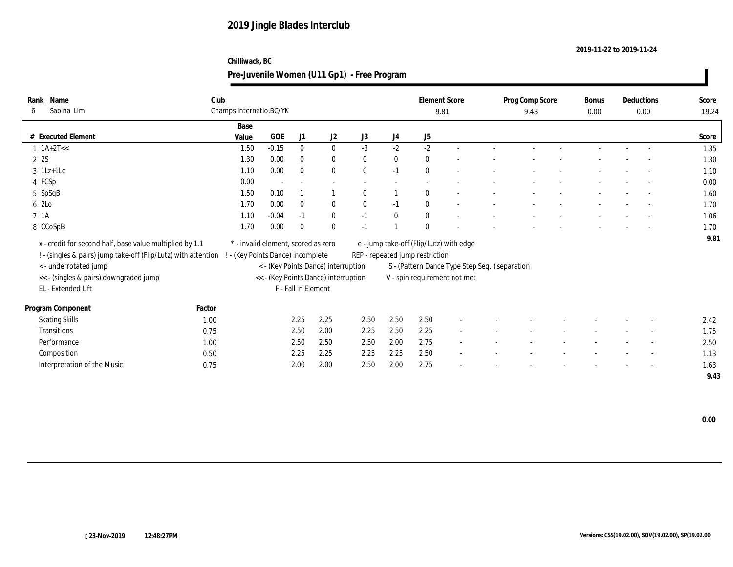#### **2019-11-22 to 2019-11-24**

### **Chilliwack, BC**

| Name<br>Rank                                                       | Club   |                                     |         |                     |                                      |              |                  |                                 | <b>Element Score</b>                          | Prog Comp Score | <b>Bonus</b> | Deductions               | Score |
|--------------------------------------------------------------------|--------|-------------------------------------|---------|---------------------|--------------------------------------|--------------|------------------|---------------------------------|-----------------------------------------------|-----------------|--------------|--------------------------|-------|
| Sabina Lim<br>6                                                    |        | Champs Internatio, BC/YK            |         |                     |                                      |              |                  |                                 | 9.81                                          | 9.43            | 0.00         | 0.00                     | 19.24 |
|                                                                    |        | Base                                |         |                     |                                      |              |                  |                                 |                                               |                 |              |                          |       |
| # Executed Element                                                 |        | Value                               | GOE     | J1                  | J2                                   | J3           | $_{\mathrm{J}4}$ | J5                              |                                               |                 |              |                          | Score |
| $1 \text{ A} + 2 \text{T} <<$                                      |        | 1.50                                | $-0.15$ | $\bf{0}$            | $\bf{0}$                             | $-3$         | $-2$             | $-2$                            |                                               |                 |              |                          | 1.35  |
| 2 2S                                                               |        | 1.30                                | 0.00    | $\mathbf{0}$        | $\bf{0}$                             | $\bf{0}$     | $\bf{0}$         | $\bf{0}$                        |                                               |                 |              |                          | 1.30  |
| $3 \text{ } 1\text{Lz+1LO}$                                        |        | 1.10                                | 0.00    | $\mathbf{0}$        | $\bf{0}$                             | $\mathbf{0}$ | $-1$             | $\theta$                        |                                               |                 |              |                          | 1.10  |
| 4 FCSp                                                             |        | 0.00                                | $\sim$  | $\sim$              | $\sim$                               | $\sim$       | $\sim$           | $\sim$                          |                                               |                 |              |                          | 0.00  |
| 5 SpSqB                                                            |        | 1.50                                | 0.10    |                     |                                      | $\theta$     |                  | $\mathbf{0}$                    |                                               |                 |              |                          | 1.60  |
| 6 2Lo                                                              |        | 1.70                                | 0.00    | $\mathbf{0}$        | $\bf{0}$                             | $\mathbf{0}$ | $-1$             | $\mathbf{0}$                    | $\sim$                                        |                 |              | $\sim$                   | 1.70  |
| 7 1A                                                               |        | 1.10                                | $-0.04$ | $-1$                | $\bf{0}$                             | $-1$         | $\bf{0}$         | $\bf{0}$                        |                                               |                 |              |                          | 1.06  |
| 8 CCoSpB                                                           |        | 1.70                                | 0.00    | $\mathbf{0}$        | $\bf{0}$                             | $-1$         |                  | $\mathbf{0}$                    |                                               |                 |              |                          | 1.70  |
| x - credit for second half, base value multiplied by 1.1           |        | * - invalid element, scored as zero |         |                     |                                      |              |                  |                                 | e - jump take-off (Flip/Lutz) with edge       |                 |              |                          | 9.81  |
| ! - (singles & pairs) jump take-off (Flip/Lutz) with attention ! - |        | - (Key Points Dance) incomplete     |         |                     |                                      |              |                  | REP - repeated jump restriction |                                               |                 |              |                          |       |
| < - underrotated jump                                              |        |                                     |         |                     | < - (Key Points Dance) interruption  |              |                  |                                 | S - (Pattern Dance Type Step Seq.) separation |                 |              |                          |       |
| << - (singles & pairs) downgraded jump                             |        |                                     |         |                     | << - (Key Points Dance) interruption |              |                  |                                 |                                               |                 |              |                          |       |
| EL - Extended Lift                                                 |        |                                     |         | F - Fall in Element |                                      |              |                  |                                 | V - spin requirement not met                  |                 |              |                          |       |
|                                                                    |        |                                     |         |                     |                                      |              |                  |                                 |                                               |                 |              |                          |       |
| Program Component                                                  | Factor |                                     |         |                     |                                      |              |                  |                                 |                                               |                 |              |                          |       |
| <b>Skating Skills</b>                                              | 1.00   |                                     |         | 2.25                | 2.25                                 | 2.50         | 2.50             | 2.50                            |                                               |                 |              |                          | 2.42  |
| <b>Transitions</b>                                                 | 0.75   |                                     |         | 2.50                | 2.00                                 | 2.25         | 2.50             | 2.25                            | $\sim$                                        |                 |              | $\sim$                   | 1.75  |
| Performance                                                        | 1.00   |                                     |         | 2.50                | 2.50                                 | 2.50         | 2.00             | 2.75                            |                                               |                 |              |                          | 2.50  |
| Composition                                                        | 0.50   |                                     |         | 2.25                | 2.25                                 | 2.25         | 2.25             | 2.50                            | $\overline{\phantom{a}}$                      |                 |              |                          | 1.13  |
| Interpretation of the Music                                        | 0.75   |                                     |         | 2.00                | 2.00                                 | 2.50         | 2.00             | 2.75                            |                                               |                 |              | $\overline{\phantom{a}}$ | 1.63  |
|                                                                    |        |                                     |         |                     |                                      |              |                  |                                 |                                               |                 |              |                          | 9.43  |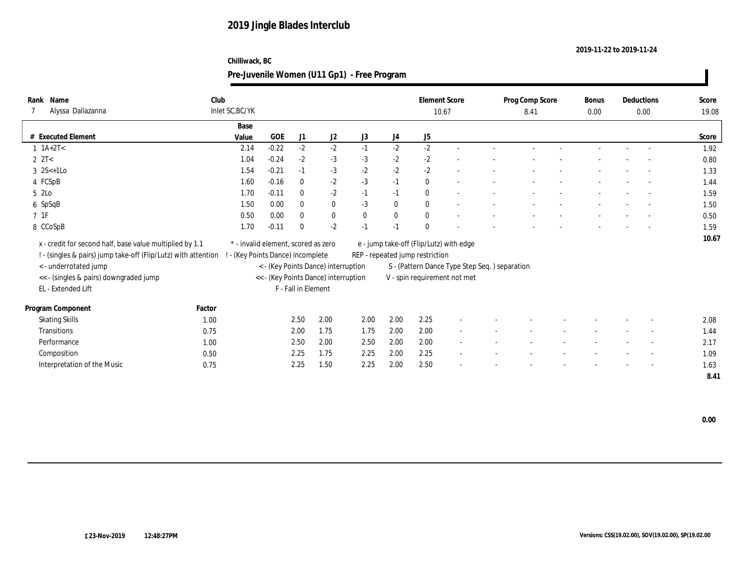#### **2019-11-22 to 2019-11-24**

### **Chilliwack, BC**

| Name<br>Rank                                                   | Club   |                                     |         |                     |                                      |          |                  |                                 | <b>Element Score</b>                          | Prog Comp Score | Bonus    | Deductions               | Score |
|----------------------------------------------------------------|--------|-------------------------------------|---------|---------------------|--------------------------------------|----------|------------------|---------------------------------|-----------------------------------------------|-----------------|----------|--------------------------|-------|
| Alyssa Dallazanna                                              |        | Inlet SC, BC/YK                     |         |                     |                                      |          |                  |                                 | 10.67                                         | 8.41            | $0.00\,$ | $0.00\,$                 | 19.08 |
|                                                                |        | Base                                |         |                     |                                      |          |                  |                                 |                                               |                 |          |                          |       |
| # Executed Element                                             |        | Value                               | GOE     | J1                  | J2                                   | J3       | J4               | J5                              |                                               |                 |          |                          | Score |
| $1 \ 1A+2T1$                                                   |        | 2.14                                | $-0.22$ | $-2$                | $-2$                                 | $-1$     | $-2$             | $-2$                            | $\sim$                                        |                 |          |                          | 1.92  |
| $2 \text{ } 2T <$                                              |        | 1.04                                | $-0.24$ | $-2$                | $-3$                                 | $-3$     | $-2$             | $-2$                            | $\overline{\phantom{a}}$                      |                 |          |                          | 0.80  |
| $3 \; 2S<+1LO$                                                 |        | 1.54                                | $-0.21$ | $-1$                | $-3$                                 | $-2$     | $-2$             | $-2$                            |                                               |                 |          |                          | 1.33  |
| 4 FCSpB                                                        |        | 1.60                                | $-0.16$ | $\bf{0}$            | $-2$                                 | $-3$     | $-1$             | $\mathbf{0}$                    | $\overline{\phantom{a}}$                      |                 |          | $\sim$                   | 1.44  |
| 5 2Lo                                                          |        | 1.70                                | $-0.11$ | $\bf{0}$            | $-2$                                 | $-1$     | $-1$             | $\theta$                        | $\sim$                                        |                 |          | $\sim$                   | 1.59  |
| 6 SpSqB                                                        |        | 1.50                                | 0.00    | $\mathbf{0}$        | $\bf{0}$                             | $-3$     | $\bf{0}$         | $\mathbf{0}$                    | $\sim$                                        |                 |          | $\sim$                   | 1.50  |
| $7\;\;1\mathrm{F}$                                             |        | 0.50                                | 0.00    | $\mathbf{0}$        | $\bf{0}$                             | $\bf{0}$ | $\boldsymbol{0}$ | $\bf{0}$                        | $\overline{\phantom{a}}$                      |                 |          |                          | 0.50  |
| 8 CCoSpB                                                       |        | 1.70                                | $-0.11$ | $\mathbf{0}$        | $-2$                                 | $-1$     | $-1$             | $\mathbf{0}$                    |                                               |                 |          |                          | 1.59  |
| x - credit for second half, base value multiplied by 1.1       |        | * - invalid element, scored as zero |         |                     |                                      |          |                  |                                 | e - jump take-off (Flip/Lutz) with edge       |                 |          |                          | 10.67 |
| ! - (singles & pairs) jump take-off (Flip/Lutz) with attention |        | (Key Points Dance) incomplete       |         |                     |                                      |          |                  | REP - repeated jump restriction |                                               |                 |          |                          |       |
| < - underrotated jump                                          |        |                                     |         |                     | < - (Key Points Dance) interruption  |          |                  |                                 | S - (Pattern Dance Type Step Seq.) separation |                 |          |                          |       |
| << - (singles & pairs) downgraded jump                         |        |                                     |         |                     | << - (Key Points Dance) interruption |          |                  |                                 | V - spin requirement not met                  |                 |          |                          |       |
| EL - Extended Lift                                             |        |                                     |         | F - Fall in Element |                                      |          |                  |                                 |                                               |                 |          |                          |       |
|                                                                |        |                                     |         |                     |                                      |          |                  |                                 |                                               |                 |          |                          |       |
| Program Component                                              | Factor |                                     |         |                     |                                      |          |                  |                                 |                                               |                 |          |                          |       |
| <b>Skating Skills</b>                                          | 1.00   |                                     |         | 2.50                | 2.00                                 | 2.00     | 2.00             | 2.25                            |                                               |                 |          |                          | 2.08  |
| <b>Transitions</b>                                             | 0.75   |                                     |         | 2.00                | 1.75                                 | 1.75     | 2.00             | 2.00                            | $\sim$                                        |                 |          | $\overline{\phantom{a}}$ | 1.44  |
| Performance                                                    | 1.00   |                                     |         | 2.50                | 2.00                                 | 2.50     | 2.00             | 2.00                            |                                               |                 |          |                          | 2.17  |
| Composition                                                    | 0.50   |                                     |         | 2.25                | 1.75                                 | 2.25     | 2.00             | 2.25                            |                                               |                 |          |                          | 1.09  |
| Interpretation of the Music                                    | 0.75   |                                     |         | 2.25                | 1.50                                 | 2.25     | 2.00             | 2.50                            |                                               |                 |          | $\overline{\phantom{a}}$ | 1.63  |
|                                                                |        |                                     |         |                     |                                      |          |                  |                                 |                                               |                 |          |                          | 8.41  |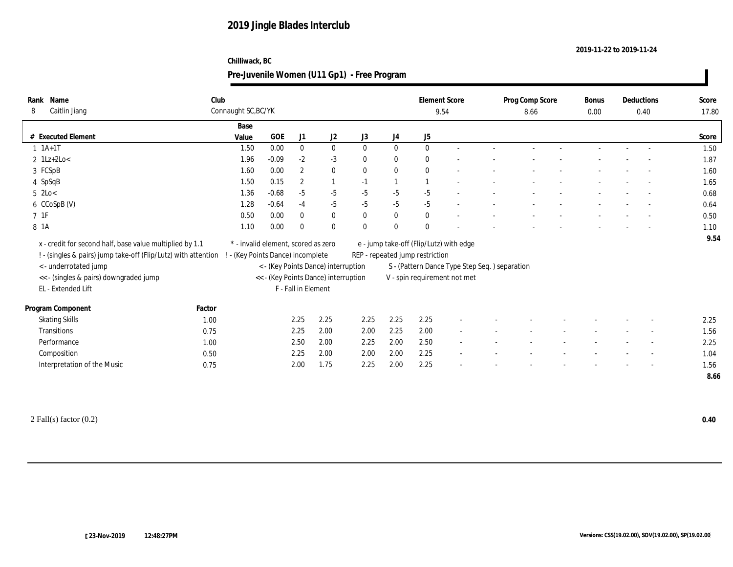#### **2019-11-22 to 2019-11-24**

### **Chilliwack, BC**

### **Pre-Juvenile Women (U11 Gp1) - Free Program**

| Name<br>Rank                                             | Club                                                           |                                     |         |                     |                                      |              |          |                                 | <b>Element Score</b>                           | Prog Comp Score | Bonus | Deductions |                          | Score |
|----------------------------------------------------------|----------------------------------------------------------------|-------------------------------------|---------|---------------------|--------------------------------------|--------------|----------|---------------------------------|------------------------------------------------|-----------------|-------|------------|--------------------------|-------|
| Caitlin Jiang<br>8                                       |                                                                | Connaught SC, BC/YK                 |         |                     |                                      |              |          |                                 | 9.54                                           | 8.66            | 0.00  |            | 0.40                     | 17.80 |
|                                                          |                                                                | Base                                |         |                     |                                      |              |          |                                 |                                                |                 |       |            |                          |       |
| # Executed Element                                       |                                                                | Value                               | GOE     | J1                  | J2                                   | J3           | J4       | J5                              |                                                |                 |       |            |                          | Score |
| $1 \t1A+1T$                                              |                                                                | 1.50                                | 0.00    | $\bf{0}$            | $\bf{0}$                             | $\bf{0}$     | $\bf{0}$ | $\mathbf{0}$                    | $\sim$                                         |                 |       |            |                          | 1.50  |
| $2$ 1Lz+2Lo<                                             |                                                                | 1.96                                | $-0.09$ | $-2$                | $-3$                                 | $\bf{0}$     | $\bf{0}$ | $\bf{0}$                        |                                                |                 |       |            |                          | 1.87  |
| 3 FCSpB                                                  |                                                                | 1.60                                | 0.00    | $\boldsymbol{2}$    | $\bf{0}$                             | $\bf{0}$     | $\bf{0}$ | $\theta$                        |                                                |                 |       |            |                          | 1.60  |
| 4 SpSqB                                                  |                                                                | 1.50                                | 0.15    | $\mathbf{2}$        | $\mathbf{1}$                         | $-1$         |          |                                 |                                                |                 |       |            |                          | 1.65  |
| $5$ 2Lo $<$                                              |                                                                | 1.36                                | $-0.68$ | $-5$                | $-5$                                 | $-5$         | $-5$     | $-5$                            |                                                |                 |       |            |                          | 0.68  |
| 6 CCoSpB (V)                                             |                                                                | 1.28                                | $-0.64$ | $-4$                | $-5$                                 | $-5$         | $-5$     | $-5$                            | $\overline{\phantom{a}}$                       |                 |       |            | $\sim$                   | 0.64  |
| $7\;\;1\mathrm{F}$                                       |                                                                | 0.50                                | 0.00    | $\mathbf{0}$        | $\bf{0}$                             | $\bf{0}$     | $\bf{0}$ | $\bf{0}$                        |                                                |                 |       |            |                          | 0.50  |
| 8 1A                                                     |                                                                | 1.10                                | 0.00    | $\mathbf{0}$        | $\mathbf{0}$                         | $\mathbf{0}$ | $\bf{0}$ | $\theta$                        |                                                |                 |       |            |                          | 1.10  |
| x - credit for second half, base value multiplied by 1.1 |                                                                | * - invalid element, scored as zero |         |                     |                                      |              |          |                                 | e - jump take-off (Flip/Lutz) with edge        |                 |       |            |                          | 9.54  |
|                                                          | ! - (singles & pairs) jump take-off (Flip/Lutz) with attention | - (Key Points Dance) incomplete     |         |                     |                                      |              |          | REP - repeated jump restriction |                                                |                 |       |            |                          |       |
| <- underrotated jump                                     |                                                                |                                     |         |                     | < - (Key Points Dance) interruption  |              |          |                                 | S - (Pattern Dance Type Step Seq. ) separation |                 |       |            |                          |       |
| << - (singles & pairs) downgraded jump                   |                                                                |                                     |         |                     | << - (Key Points Dance) interruption |              |          |                                 | V - spin requirement not met                   |                 |       |            |                          |       |
| EL - Extended Lift                                       |                                                                |                                     |         | F - Fall in Element |                                      |              |          |                                 |                                                |                 |       |            |                          |       |
|                                                          |                                                                |                                     |         |                     |                                      |              |          |                                 |                                                |                 |       |            |                          |       |
| Program Component                                        | Factor                                                         |                                     |         |                     |                                      |              |          |                                 |                                                |                 |       |            |                          |       |
| <b>Skating Skills</b>                                    | 1.00                                                           |                                     |         | 2.25                | 2.25                                 | 2.25         | 2.25     | 2.25                            |                                                |                 |       |            |                          | 2.25  |
| <b>Transitions</b>                                       | 0.75                                                           |                                     |         | 2.25                | 2.00                                 | 2.00         | 2.25     | 2.00                            | $\sim$                                         |                 |       |            |                          | 1.56  |
| Performance                                              | 1.00                                                           |                                     |         | 2.50                | 2.00                                 | 2.25         | 2.00     | 2.50                            | $\sim$                                         |                 |       |            | $\overline{\phantom{a}}$ | 2.25  |
| Composition                                              | 0.50                                                           |                                     |         | 2.25                | 2.00                                 | 2.00         | 2.00     | 2.25                            | $\sim$                                         |                 |       |            |                          | 1.04  |
| Interpretation of the Music                              | 0.75                                                           |                                     |         | 2.00                | 1.75                                 | 2.25         | 2.00     | 2.25                            | $\overline{\phantom{a}}$                       |                 |       |            | $\overline{\phantom{a}}$ | 1.56  |
|                                                          |                                                                |                                     |         |                     |                                      |              |          |                                 |                                                |                 |       |            |                          | 8.66  |

2 Fall(s) factor (0.2) **0.40**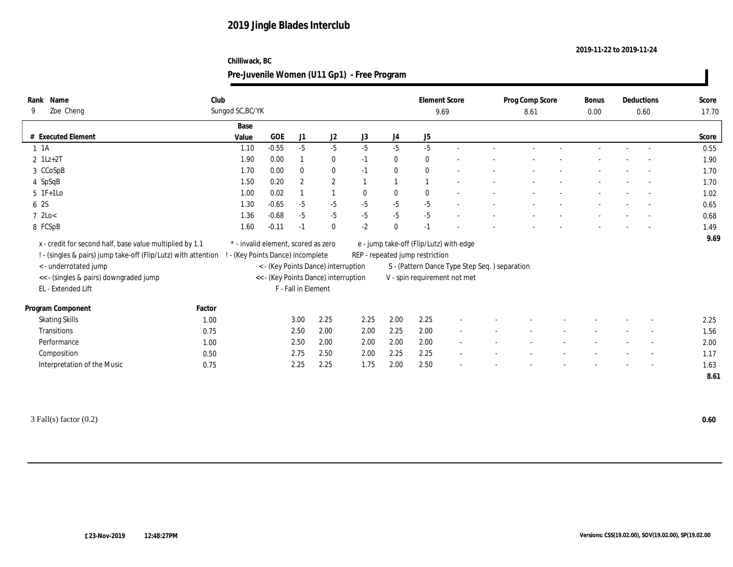#### **2019-11-22 to 2019-11-24**

### **Chilliwack, BC**

| Name<br>Rank                                                   | Club   |                  |                                     |                     |                                      |              |              | <b>Element Score</b>                          |                | Prog Comp Score | Bonus | Deductions               | Score |
|----------------------------------------------------------------|--------|------------------|-------------------------------------|---------------------|--------------------------------------|--------------|--------------|-----------------------------------------------|----------------|-----------------|-------|--------------------------|-------|
| Zoe Cheng<br>9                                                 |        | Sungod SC, BC/YK |                                     |                     |                                      |              |              | 9.69                                          |                | 8.61            | 0.00  | 0.60                     | 17.70 |
|                                                                |        | Base             |                                     |                     |                                      |              |              |                                               |                |                 |       |                          |       |
| # Executed Element                                             |        | Value            | <b>GOE</b>                          | J1                  | J2                                   | J3           | J4           | J5                                            |                |                 |       |                          | Score |
| $1 \t1A$                                                       |        | 1.10             | $-0.55$                             | $-5$                | $-5$                                 | $-5$         | $-5$         | $-5$                                          | $\overline{a}$ |                 |       |                          | 0.55  |
| $2 \text{ 1Lz+2T}$                                             |        | 1.90             | 0.00                                |                     | $\bf{0}$                             | $-1$         | $\bf{0}$     | $\bf{0}$                                      |                |                 |       |                          | 1.90  |
| 3 CCoSpB                                                       |        | 1.70             | 0.00                                | $\bf{0}$            | $\bf{0}$                             | $-1$         | $\bf{0}$     | $\theta$                                      |                |                 |       |                          | 1.70  |
| 4 SpSqB                                                        |        | 1.50             | 0.20                                | $\overline{2}$      | $\mathbf{2}$                         |              |              |                                               |                |                 |       | $\overline{\phantom{a}}$ | 1.70  |
| $5 \t1F+1Lo$                                                   |        | 1.00             | 0.02                                |                     |                                      | $\mathbf{0}$ | $\bf{0}$     | $\mathbf{0}$                                  |                |                 |       |                          | 1.02  |
| 6 2S                                                           |        | 1.30             | $-0.65$                             | $-5$                | $-5$                                 | $-5$         | $-5$         | $-5$                                          |                |                 |       |                          | 0.65  |
| 72Lo<                                                          |        | 1.36             | $-0.68$                             | $-5$                | $-5$                                 | $-5$         | $-5$         | $-5$                                          |                |                 |       |                          | 0.68  |
| 8 FCSpB                                                        |        | 1.60             | $-0.11$                             | $-1$                | $\bf{0}$                             | $-2$         | $\mathbf{0}$ | $-1$                                          |                |                 |       |                          | 1.49  |
| x - credit for second half, base value multiplied by 1.1       |        |                  | * - invalid element, scored as zero |                     |                                      |              |              | e - jump take-off (Flip/Lutz) with edge       |                |                 |       |                          | 9.69  |
| ! - (singles & pairs) jump take-off (Flip/Lutz) with attention |        |                  | - (Key Points Dance) incomplete     |                     |                                      |              |              | REP - repeated jump restriction               |                |                 |       |                          |       |
| < - underrotated jump                                          |        |                  |                                     |                     | < - (Key Points Dance) interruption  |              |              | S - (Pattern Dance Type Step Seq.) separation |                |                 |       |                          |       |
| << - (singles & pairs) downgraded jump                         |        |                  |                                     |                     | << - (Key Points Dance) interruption |              |              | V - spin requirement not met                  |                |                 |       |                          |       |
| EL - Extended Lift                                             |        |                  |                                     | F - Fall in Element |                                      |              |              |                                               |                |                 |       |                          |       |
|                                                                |        |                  |                                     |                     |                                      |              |              |                                               |                |                 |       |                          |       |
| Program Component                                              | Factor |                  |                                     |                     |                                      |              |              |                                               |                |                 |       |                          |       |
| <b>Skating Skills</b>                                          | 1.00   |                  |                                     | 3.00                | 2.25                                 | 2.25         | 2.00         | 2.25                                          |                |                 |       |                          | 2.25  |
| Transitions                                                    | 0.75   |                  |                                     | 2.50                | 2.00                                 | 2.00         | 2.25         | 2.00                                          | $\sim$         |                 |       |                          | 1.56  |
| Performance                                                    | 1.00   |                  |                                     | 2.50                | 2.00                                 | 2.00         | 2.00         | 2.00                                          | $\sim$         |                 |       | $\overline{\phantom{a}}$ | 2.00  |
| Composition                                                    | 0.50   |                  |                                     | 2.75                | 2.50                                 | 2.00         | 2.25         | 2.25                                          | $\sim$         |                 |       | $\overline{\phantom{a}}$ | 1.17  |
| Interpretation of the Music                                    | 0.75   |                  |                                     | 2.25                | 2.25                                 | 1.75         | 2.00         | 2.50                                          |                |                 |       | $\overline{\phantom{a}}$ | 1.63  |
|                                                                |        |                  |                                     |                     |                                      |              |              |                                               |                |                 |       |                          | 8.61  |